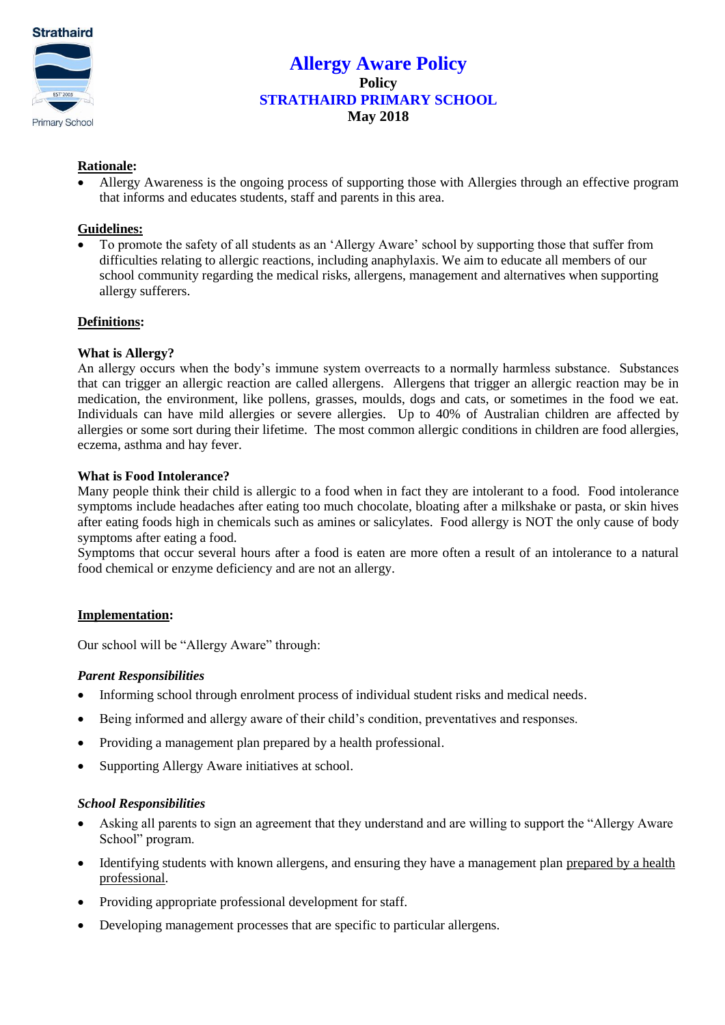

# **Allergy Aware Policy Policy STRATHAIRD PRIMARY SCHOOL May 2018**

## **Rationale:**

 Allergy Awareness is the ongoing process of supporting those with Allergies through an effective program that informs and educates students, staff and parents in this area.

### **Guidelines:**

 To promote the safety of all students as an 'Allergy Aware' school by supporting those that suffer from difficulties relating to allergic reactions, including anaphylaxis. We aim to educate all members of our school community regarding the medical risks, allergens, management and alternatives when supporting allergy sufferers.

### **Definitions:**

## **What is Allergy?**

An allergy occurs when the body's immune system overreacts to a normally harmless substance. Substances that can trigger an allergic reaction are called allergens. Allergens that trigger an allergic reaction may be in medication, the environment, like pollens, grasses, moulds, dogs and cats, or sometimes in the food we eat. Individuals can have mild allergies or severe allergies. Up to 40% of Australian children are affected by allergies or some sort during their lifetime. The most common allergic conditions in children are food allergies, eczema, asthma and hay fever.

### **What is Food Intolerance?**

Many people think their child is allergic to a food when in fact they are intolerant to a food. Food intolerance symptoms include headaches after eating too much chocolate, bloating after a milkshake or pasta, or skin hives after eating foods high in chemicals such as amines or salicylates. Food allergy is NOT the only cause of body symptoms after eating a food.

Symptoms that occur several hours after a food is eaten are more often a result of an intolerance to a natural food chemical or enzyme deficiency and are not an allergy.

### **Implementation:**

Our school will be "Allergy Aware" through:

### *Parent Responsibilities*

- Informing school through enrolment process of individual student risks and medical needs.
- Being informed and allergy aware of their child's condition, preventatives and responses.
- Providing a management plan prepared by a health professional.
- Supporting Allergy Aware initiatives at school.

### *School Responsibilities*

- Asking all parents to sign an agreement that they understand and are willing to support the "Allergy Aware School" program.
- Identifying students with known allergens, and ensuring they have a management plan prepared by a health professional.
- Providing appropriate professional development for staff.
- Developing management processes that are specific to particular allergens.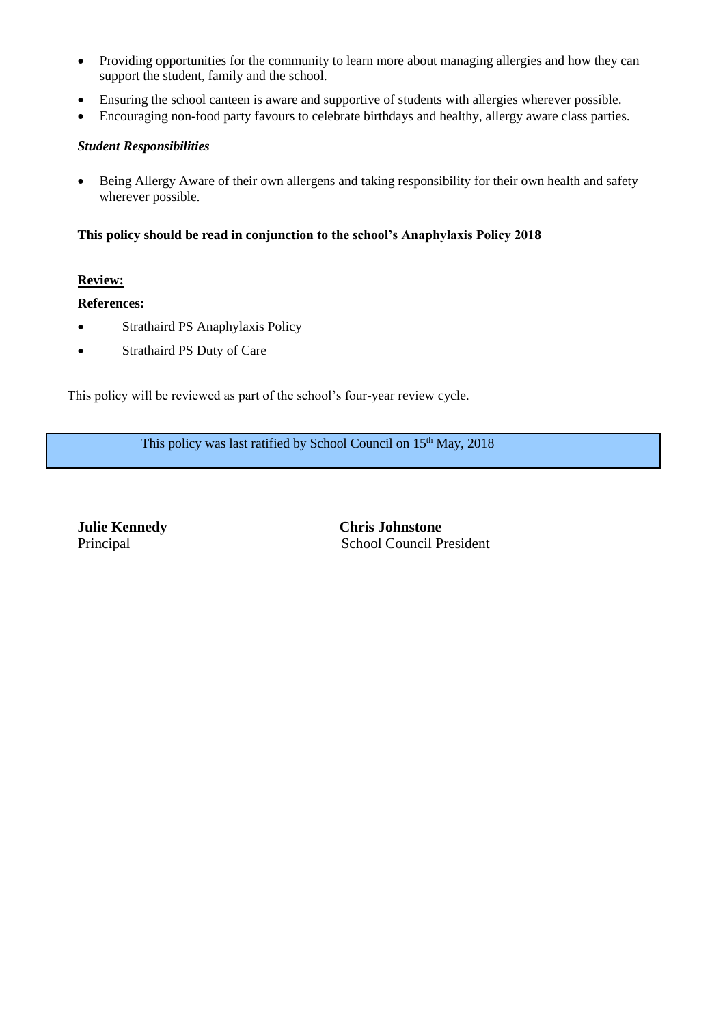- Providing opportunities for the community to learn more about managing allergies and how they can support the student, family and the school.
- Ensuring the school canteen is aware and supportive of students with allergies wherever possible.
- Encouraging non-food party favours to celebrate birthdays and healthy, allergy aware class parties.

## *Student Responsibilities*

 Being Allergy Aware of their own allergens and taking responsibility for their own health and safety wherever possible.

## **This policy should be read in conjunction to the school's Anaphylaxis Policy 2018**

## **Review:**

 $\overline{a}$ 

**References:**

- Strathaird PS Anaphylaxis Policy
- Strathaird PS Duty of Care

This policy will be reviewed as part of the school's four-year review cycle.

This policy was last ratified by School Council on  $15<sup>th</sup>$  May, 2018

**Julie Kennedy Chris Johnstone**  Principal School Council President